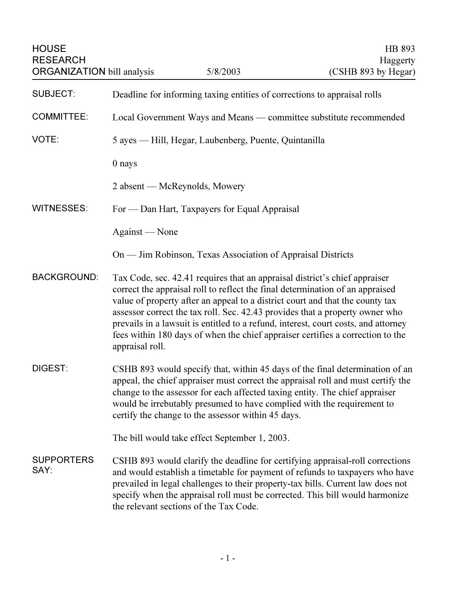| <b>HOUSE</b><br><b>RESEARCH</b><br><b>ORGANIZATION</b> bill analysis |                                                       | 5/8/2003                                                                   | HB 893<br>Haggerty<br>(CSHB 893 by Hegar)                                                                                                                                                                                                                                                                                                                                                                              |
|----------------------------------------------------------------------|-------------------------------------------------------|----------------------------------------------------------------------------|------------------------------------------------------------------------------------------------------------------------------------------------------------------------------------------------------------------------------------------------------------------------------------------------------------------------------------------------------------------------------------------------------------------------|
| <b>SUBJECT:</b>                                                      |                                                       | Deadline for informing taxing entities of corrections to appraisal rolls   |                                                                                                                                                                                                                                                                                                                                                                                                                        |
| <b>COMMITTEE:</b>                                                    |                                                       |                                                                            | Local Government Ways and Means — committee substitute recommended                                                                                                                                                                                                                                                                                                                                                     |
| VOTE:                                                                | 5 ayes — Hill, Hegar, Laubenberg, Puente, Quintanilla |                                                                            |                                                                                                                                                                                                                                                                                                                                                                                                                        |
|                                                                      | 0 nays                                                |                                                                            |                                                                                                                                                                                                                                                                                                                                                                                                                        |
|                                                                      |                                                       | 2 absent — McReynolds, Mowery                                              |                                                                                                                                                                                                                                                                                                                                                                                                                        |
| <b>WITNESSES:</b>                                                    |                                                       | For — Dan Hart, Taxpayers for Equal Appraisal                              |                                                                                                                                                                                                                                                                                                                                                                                                                        |
|                                                                      | Against — None                                        |                                                                            |                                                                                                                                                                                                                                                                                                                                                                                                                        |
|                                                                      |                                                       | On — Jim Robinson, Texas Association of Appraisal Districts                |                                                                                                                                                                                                                                                                                                                                                                                                                        |
| <b>BACKGROUND:</b>                                                   | appraisal roll.                                       | Tax Code, sec. 42.41 requires that an appraisal district's chief appraiser | correct the appraisal roll to reflect the final determination of an appraised<br>value of property after an appeal to a district court and that the county tax<br>assessor correct the tax roll. Sec. 42.43 provides that a property owner who<br>prevails in a lawsuit is entitled to a refund, interest, court costs, and attorney<br>fees within 180 days of when the chief appraiser certifies a correction to the |
| DIGEST:                                                              |                                                       | certify the change to the assessor within 45 days.                         | CSHB 893 would specify that, within 45 days of the final determination of an<br>appeal, the chief appraiser must correct the appraisal roll and must certify the<br>change to the assessor for each affected taxing entity. The chief appraiser<br>would be irrebutably presumed to have complied with the requirement to                                                                                              |
|                                                                      |                                                       | The bill would take effect September 1, 2003.                              |                                                                                                                                                                                                                                                                                                                                                                                                                        |
| <b>SUPPORTERS</b><br>SAY:                                            |                                                       | the relevant sections of the Tax Code.                                     | CSHB 893 would clarify the deadline for certifying appraisal-roll corrections<br>and would establish a timetable for payment of refunds to taxpayers who have<br>prevailed in legal challenges to their property-tax bills. Current law does not<br>specify when the appraisal roll must be corrected. This bill would harmonize                                                                                       |